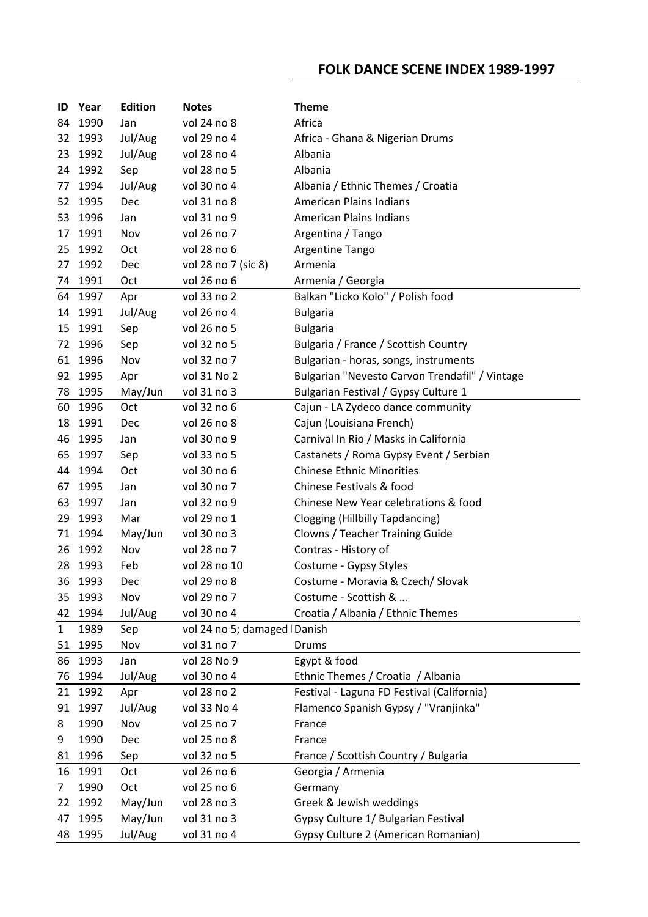## **FOLK DANCE SCENE INDEX 1989-1997**

| ID           | Year         | <b>Edition</b> | <b>Notes</b>                  | <b>Theme</b>                                              |
|--------------|--------------|----------------|-------------------------------|-----------------------------------------------------------|
| 84           | 1990         | Jan            | vol 24 no 8                   | Africa                                                    |
| 32           | 1993         | Jul/Aug        | vol 29 no 4                   | Africa - Ghana & Nigerian Drums                           |
| 23           | 1992         | Jul/Aug        | vol 28 no 4                   | Albania                                                   |
| 24           | 1992         | Sep            | vol 28 no 5                   | Albania                                                   |
| 77           | 1994         | Jul/Aug        | vol 30 no 4                   | Albania / Ethnic Themes / Croatia                         |
| 52           | 1995         | Dec            | vol 31 no 8                   | <b>American Plains Indians</b>                            |
| 53           | 1996         | Jan            | vol 31 no 9                   | <b>American Plains Indians</b>                            |
| 17           | 1991         | Nov            | vol 26 no 7                   | Argentina / Tango                                         |
| 25           | 1992         | Oct            | vol 28 no 6                   | Argentine Tango                                           |
| 27           | 1992         | Dec            | vol 28 no 7 (sic 8)           | Armenia                                                   |
| 74           | 1991         | Oct            | vol 26 no 6                   | Armenia / Georgia                                         |
|              | 64 1997      | Apr            | vol 33 no 2                   | Balkan "Licko Kolo" / Polish food                         |
|              | 14 1991      | Jul/Aug        | vol 26 no 4                   | <b>Bulgaria</b>                                           |
| 15           | 1991         | Sep            | vol 26 no 5                   | <b>Bulgaria</b>                                           |
| 72           | 1996         | Sep            | vol 32 no 5                   | Bulgaria / France / Scottish Country                      |
| 61           | 1996         | Nov            | vol 32 no 7                   | Bulgarian - horas, songs, instruments                     |
| 92           | 1995         | Apr            | vol 31 No 2                   | Bulgarian "Nevesto Carvon Trendafil" / Vintage            |
| 78           | 1995         | May/Jun        | vol 31 no 3                   | Bulgarian Festival / Gypsy Culture 1                      |
| 60           | 1996         | Oct            | vol 32 no 6                   | Cajun - LA Zydeco dance community                         |
| 18           | 1991         | <b>Dec</b>     | vol 26 no 8                   | Cajun (Louisiana French)                                  |
| 46           | 1995         | Jan            | vol 30 no 9                   | Carnival In Rio / Masks in California                     |
| 65           | 1997         | Sep            | vol 33 no 5                   | Castanets / Roma Gypsy Event / Serbian                    |
| 44           | 1994         | Oct            | vol 30 no 6                   | <b>Chinese Ethnic Minorities</b>                          |
| 67           | 1995         | Jan            | vol 30 no 7                   | Chinese Festivals & food                                  |
| 63           | 1997         | Jan            | vol 32 no 9                   | Chinese New Year celebrations & food                      |
| 29           | 1993         | Mar            | vol 29 no 1                   | Clogging (Hillbilly Tapdancing)                           |
| 71           | 1994         | May/Jun        | vol 30 no 3                   | Clowns / Teacher Training Guide                           |
| 26           | 1992         | Nov            | vol 28 no 7                   | Contras - History of                                      |
| 28           | 1993         | Feb            | vol 28 no 10                  | Costume - Gypsy Styles                                    |
| 36           | 1993         | <b>Dec</b>     | vol 29 no 8                   | Costume - Moravia & Czech/ Slovak                         |
| 35           | 1993         | Nov            | vol 29 no 7                   | Costume - Scottish &                                      |
| 42           | 1994         | Jul/Aug        | vol 30 no 4                   | Croatia / Albania / Ethnic Themes                         |
| $\mathbf{1}$ | 1989         | Sep            | vol 24 no 5; damaged   Danish |                                                           |
| 51           | 1995         | Nov            | vol 31 no 7                   | Drums                                                     |
| 86           | 1993         | Jan            | vol 28 No 9                   | Egypt & food                                              |
| 76           | 1994         | Jul/Aug        | vol 30 no 4                   | Ethnic Themes / Croatia / Albania                         |
| 21           | 1992<br>1997 | Apr            | vol 28 no 2                   | Festival - Laguna FD Festival (California)                |
| 91           |              | Jul/Aug        | vol 33 No 4<br>vol 25 no 7    | Flamenco Spanish Gypsy / "Vranjinka"<br>France            |
| 8            | 1990         | Nov            | vol 25 no 8                   | France                                                    |
| 9            | 1990<br>1996 | Dec            | vol 32 no 5                   |                                                           |
| 81           | 16 1991      | Sep<br>Oct     | vol 26 no 6                   | France / Scottish Country / Bulgaria<br>Georgia / Armenia |
| 7            | 1990         | Oct            | vol 25 no 6                   | Germany                                                   |
| 22           | 1992         | May/Jun        | vol 28 no 3                   | Greek & Jewish weddings                                   |
| 47           | 1995         | May/Jun        | vol 31 no 3                   | Gypsy Culture 1/ Bulgarian Festival                       |
| 48           | 1995         | Jul/Aug        | vol 31 no 4                   | Gypsy Culture 2 (American Romanian)                       |
|              |              |                |                               |                                                           |